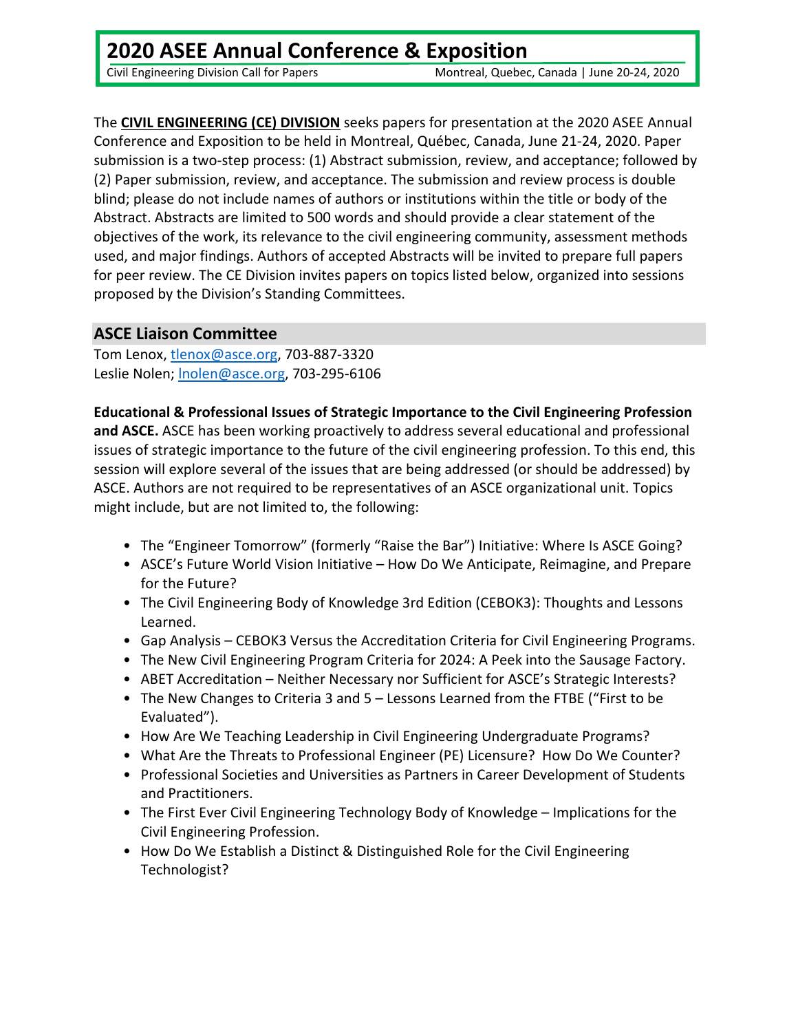Civil Engineering Division Call for Papers Montreal, Quebec, Canada | June 20‐24, 2020

The **CIVIL ENGINEERING (CE) DIVISION** seeks papers for presentation at the 2020 ASEE Annual Conference and Exposition to be held in Montreal, Québec, Canada, June 21‐24, 2020. Paper submission is a two-step process: (1) Abstract submission, review, and acceptance; followed by (2) Paper submission, review, and acceptance. The submission and review process is double blind; please do not include names of authors or institutions within the title or body of the Abstract. Abstracts are limited to 500 words and should provide a clear statement of the objectives of the work, its relevance to the civil engineering community, assessment methods used, and major findings. Authors of accepted Abstracts will be invited to prepare full papers for peer review. The CE Division invites papers on topics listed below, organized into sessions proposed by the Division's Standing Committees.

### **ASCE Liaison Committee**

Tom Lenox, tlenox@asce.org, 703-887-3320 Leslie Nolen; lnolen@asce.org, 703‐295‐6106

**Educational & Professional Issues of Strategic Importance to the Civil Engineering Profession and ASCE.** ASCE has been working proactively to address several educational and professional issues of strategic importance to the future of the civil engineering profession. To this end, this session will explore several of the issues that are being addressed (or should be addressed) by ASCE. Authors are not required to be representatives of an ASCE organizational unit. Topics might include, but are not limited to, the following:

- The "Engineer Tomorrow" (formerly "Raise the Bar") Initiative: Where Is ASCE Going?
- ASCE's Future World Vision Initiative How Do We Anticipate, Reimagine, and Prepare for the Future?
- The Civil Engineering Body of Knowledge 3rd Edition (CEBOK3): Thoughts and Lessons Learned.
- Gap Analysis CEBOK3 Versus the Accreditation Criteria for Civil Engineering Programs.
- The New Civil Engineering Program Criteria for 2024: A Peek into the Sausage Factory.
- ABET Accreditation Neither Necessary nor Sufficient for ASCE's Strategic Interests?
- The New Changes to Criteria 3 and 5 Lessons Learned from the FTBE ("First to be Evaluated").
- How Are We Teaching Leadership in Civil Engineering Undergraduate Programs?
- What Are the Threats to Professional Engineer (PE) Licensure? How Do We Counter?
- Professional Societies and Universities as Partners in Career Development of Students and Practitioners.
- The First Ever Civil Engineering Technology Body of Knowledge Implications for the Civil Engineering Profession.
- How Do We Establish a Distinct & Distinguished Role for the Civil Engineering Technologist?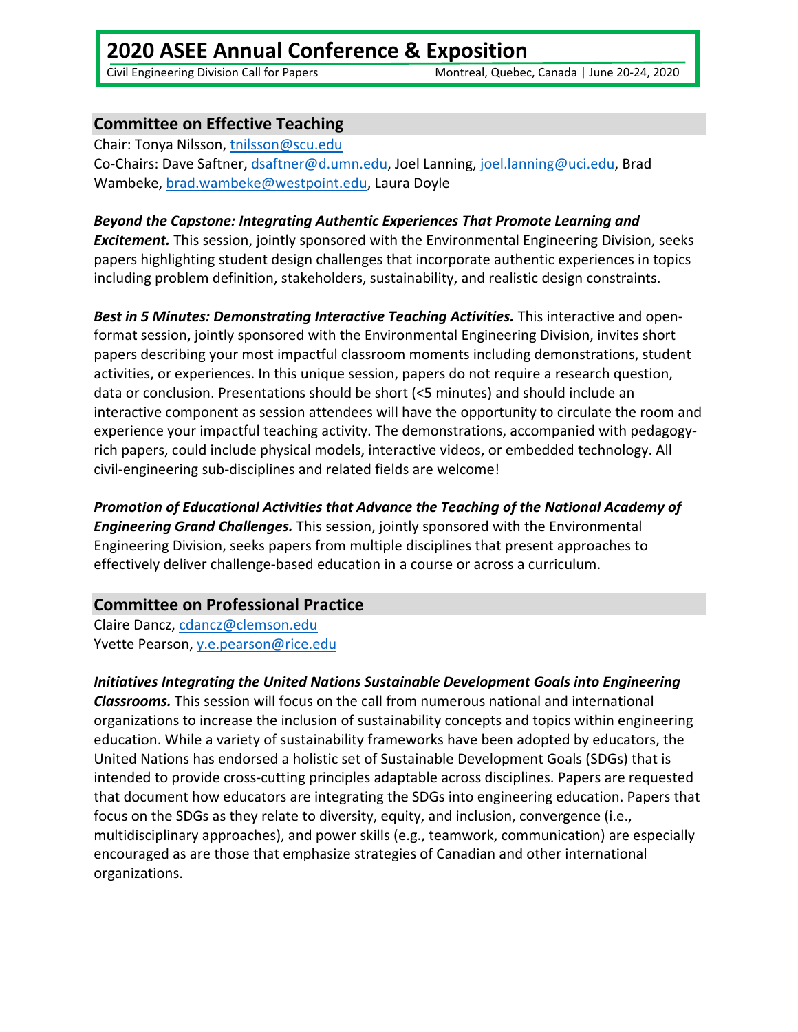# **2020 ASEE Annual Conference & Exposition**

Civil Engineering Division Call for Papers Montreal, Quebec, Canada | June 20‐24, 2020

## **Committee on Effective Teaching**

Chair: Tonya Nilsson, tnilsson@scu.edu Co‐Chairs: Dave Saftner, dsaftner@d.umn.edu, Joel Lanning, joel.lanning@uci.edu, Brad Wambeke, brad.wambeke@westpoint.edu, Laura Doyle

#### *Beyond the Capstone: Integrating Authentic Experiences That Promote Learning and*

*Excitement.* This session, jointly sponsored with the Environmental Engineering Division, seeks papers highlighting student design challenges that incorporate authentic experiences in topics including problem definition, stakeholders, sustainability, and realistic design constraints.

*Best in 5 Minutes: Demonstrating Interactive Teaching Activities.* This interactive and open‐ format session, jointly sponsored with the Environmental Engineering Division, invites short papers describing your most impactful classroom moments including demonstrations, student activities, or experiences. In this unique session, papers do not require a research question, data or conclusion. Presentations should be short (<5 minutes) and should include an interactive component as session attendees will have the opportunity to circulate the room and experience your impactful teaching activity. The demonstrations, accompanied with pedagogy‐ rich papers, could include physical models, interactive videos, or embedded technology. All civil‐engineering sub‐disciplines and related fields are welcome!

*Promotion of Educational Activities that Advance the Teaching of the National Academy of Engineering Grand Challenges.* This session, jointly sponsored with the Environmental Engineering Division, seeks papers from multiple disciplines that present approaches to effectively deliver challenge‐based education in a course or across a curriculum.

### **Committee on Professional Practice**

Claire Dancz, cdancz@clemson.edu Yvette Pearson, y.e.pearson@rice.edu

## *Initiatives Integrating the United Nations Sustainable Development Goals into Engineering*

*Classrooms.* This session will focus on the call from numerous national and international organizations to increase the inclusion of sustainability concepts and topics within engineering education. While a variety of sustainability frameworks have been adopted by educators, the United Nations has endorsed a holistic set of Sustainable Development Goals (SDGs) that is intended to provide cross‐cutting principles adaptable across disciplines. Papers are requested that document how educators are integrating the SDGs into engineering education. Papers that focus on the SDGs as they relate to diversity, equity, and inclusion, convergence (i.e., multidisciplinary approaches), and power skills (e.g., teamwork, communication) are especially encouraged as are those that emphasize strategies of Canadian and other international organizations.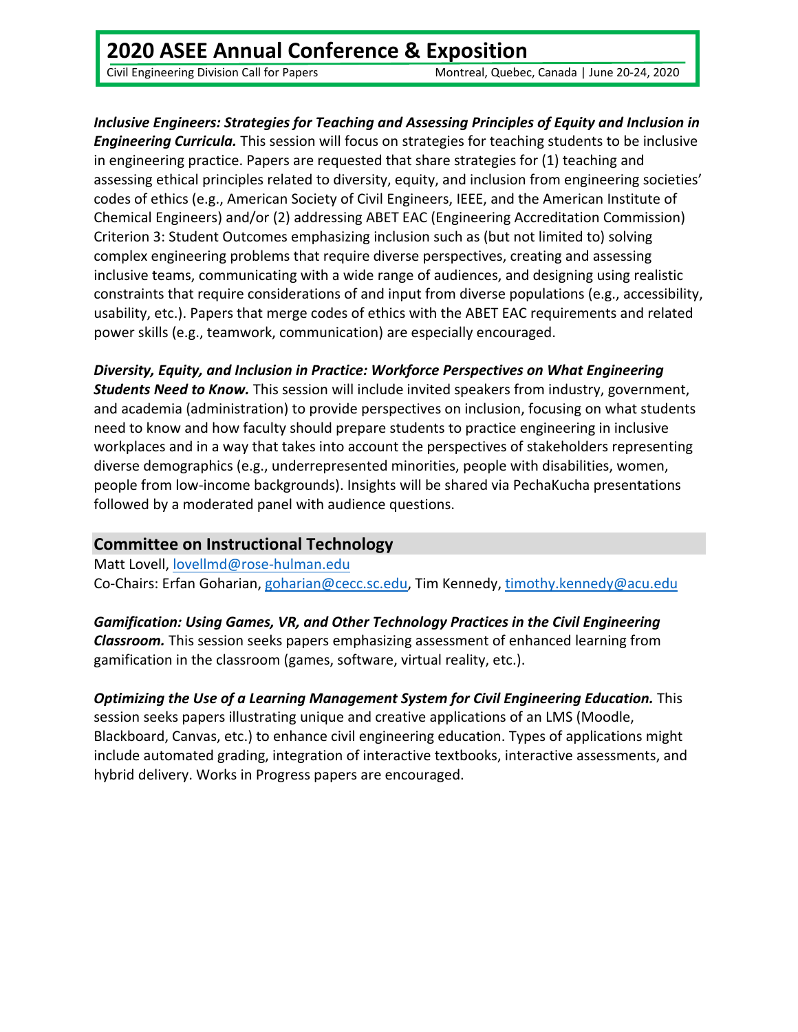# **2020 ASEE Annual Conference & Exposition**

Civil Engineering Division Call for Papers Montreal, Quebec, Canada | June 20‐24, 2020

### *Inclusive Engineers: Strategies for Teaching and Assessing Principles of Equity and Inclusion in Engineering Curricula.* This session will focus on strategies for teaching students to be inclusive in engineering practice. Papers are requested that share strategies for (1) teaching and assessing ethical principles related to diversity, equity, and inclusion from engineering societies' codes of ethics (e.g., American Society of Civil Engineers, IEEE, and the American Institute of Chemical Engineers) and/or (2) addressing ABET EAC (Engineering Accreditation Commission) Criterion 3: Student Outcomes emphasizing inclusion such as (but not limited to) solving complex engineering problems that require diverse perspectives, creating and assessing inclusive teams, communicating with a wide range of audiences, and designing using realistic constraints that require considerations of and input from diverse populations (e.g., accessibility, usability, etc.). Papers that merge codes of ethics with the ABET EAC requirements and related power skills (e.g., teamwork, communication) are especially encouraged.

*Diversity, Equity, and Inclusion in Practice: Workforce Perspectives on What Engineering Students Need to Know.* This session will include invited speakers from industry, government, and academia (administration) to provide perspectives on inclusion, focusing on what students need to know and how faculty should prepare students to practice engineering in inclusive workplaces and in a way that takes into account the perspectives of stakeholders representing diverse demographics (e.g., underrepresented minorities, people with disabilities, women, people from low‐income backgrounds). Insights will be shared via PechaKucha presentations followed by a moderated panel with audience questions.

### **Committee on Instructional Technology**

Matt Lovell, lovellmd@rose‐hulman.edu Co‐Chairs: Erfan Goharian, goharian@cecc.sc.edu, Tim Kennedy, timothy.kennedy@acu.edu

*Gamification: Using Games, VR, and Other Technology Practices in the Civil Engineering Classroom.* This session seeks papers emphasizing assessment of enhanced learning from gamification in the classroom (games, software, virtual reality, etc.).

*Optimizing the Use of a Learning Management System for Civil Engineering Education.* This session seeks papers illustrating unique and creative applications of an LMS (Moodle, Blackboard, Canvas, etc.) to enhance civil engineering education. Types of applications might include automated grading, integration of interactive textbooks, interactive assessments, and hybrid delivery. Works in Progress papers are encouraged.